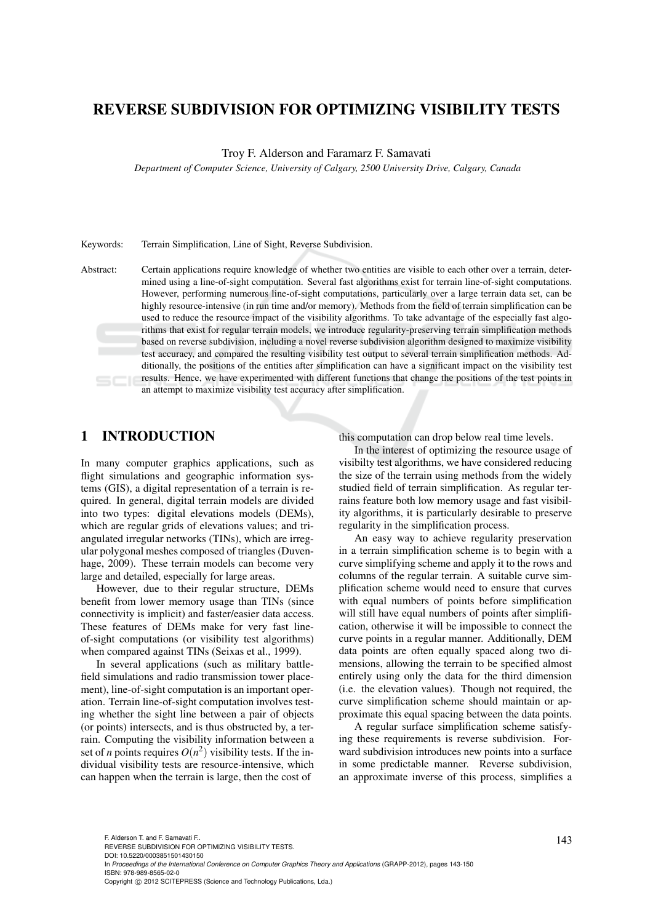# REVERSE SUBDIVISION FOR OPTIMIZING VISIBILITY TESTS

Troy F. Alderson and Faramarz F. Samavati

*Department of Computer Science, University of Calgary, 2500 University Drive, Calgary, Canada*

Keywords: Terrain Simplification, Line of Sight, Reverse Subdivision.

Abstract: Certain applications require knowledge of whether two entities are visible to each other over a terrain, determined using a line-of-sight computation. Several fast algorithms exist for terrain line-of-sight computations. However, performing numerous line-of-sight computations, particularly over a large terrain data set, can be highly resource-intensive (in run time and/or memory). Methods from the field of terrain simplification can be used to reduce the resource impact of the visibility algorithms. To take advantage of the especially fast algorithms that exist for regular terrain models, we introduce regularity-preserving terrain simplification methods based on reverse subdivision, including a novel reverse subdivision algorithm designed to maximize visibility test accuracy, and compared the resulting visibility test output to several terrain simplification methods. Additionally, the positions of the entities after simplification can have a significant impact on the visibility test results. Hence, we have experimented with different functions that change the positions of the test points in an attempt to maximize visibility test accuracy after simplification.

## 1 INTRODUCTION

In many computer graphics applications, such as flight simulations and geographic information systems (GIS), a digital representation of a terrain is required. In general, digital terrain models are divided into two types: digital elevations models (DEMs), which are regular grids of elevations values; and triangulated irregular networks (TINs), which are irregular polygonal meshes composed of triangles (Duvenhage, 2009). These terrain models can become very large and detailed, especially for large areas.

However, due to their regular structure, DEMs benefit from lower memory usage than TINs (since connectivity is implicit) and faster/easier data access. These features of DEMs make for very fast lineof-sight computations (or visibility test algorithms) when compared against TINs (Seixas et al., 1999).

In several applications (such as military battlefield simulations and radio transmission tower placement), line-of-sight computation is an important operation. Terrain line-of-sight computation involves testing whether the sight line between a pair of objects (or points) intersects, and is thus obstructed by, a terrain. Computing the visibility information between a set of *n* points requires  $O(n^2)$  visibility tests. If the individual visibility tests are resource-intensive, which can happen when the terrain is large, then the cost of

this computation can drop below real time levels.

In the interest of optimizing the resource usage of visibilty test algorithms, we have considered reducing the size of the terrain using methods from the widely studied field of terrain simplification. As regular terrains feature both low memory usage and fast visibility algorithms, it is particularly desirable to preserve regularity in the simplification process.

An easy way to achieve regularity preservation in a terrain simplification scheme is to begin with a curve simplifying scheme and apply it to the rows and columns of the regular terrain. A suitable curve simplification scheme would need to ensure that curves with equal numbers of points before simplification will still have equal numbers of points after simplification, otherwise it will be impossible to connect the curve points in a regular manner. Additionally, DEM data points are often equally spaced along two dimensions, allowing the terrain to be specified almost entirely using only the data for the third dimension (i.e. the elevation values). Though not required, the curve simplification scheme should maintain or approximate this equal spacing between the data points.

A regular surface simplification scheme satisfying these requirements is reverse subdivision. Forward subdivision introduces new points into a surface in some predictable manner. Reverse subdivision, an approximate inverse of this process, simplifies a

143 F. Alderson T. and F. Samavati F.. REVERSE SUBDIVISION FOR OPTIMIZING VISIBILITY TESTS. DOI: 10.5220/0003851501430150 In *Proceedings of the International Conference on Computer Graphics Theory and Applications* (GRAPP-2012), pages 143-150 ISBN: 978-989-8565-02-0 Copyright © 2012 SCITEPRESS (Science and Technology Publications, Lda.)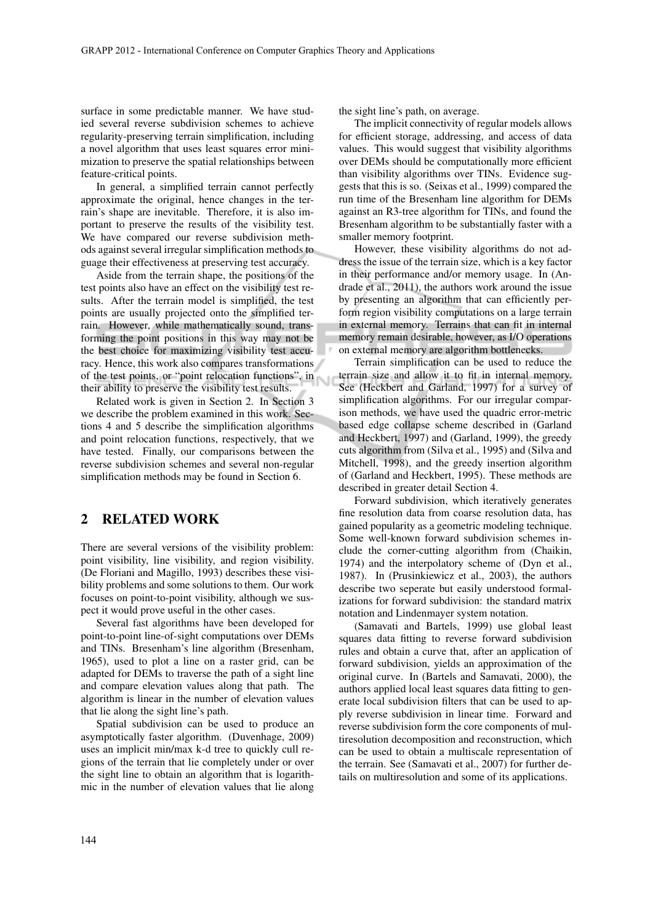surface in some predictable manner. We have studied several reverse subdivision schemes to achieve regularity-preserving terrain simplification, including a novel algorithm that uses least squares error minimization to preserve the spatial relationships between feature-critical points.

In general, a simplified terrain cannot perfectly approximate the original, hence changes in the terrain's shape are inevitable. Therefore, it is also important to preserve the results of the visibility test. We have compared our reverse subdivision methods against several irregular simplification methods to guage their effectiveness at preserving test accuracy.

Aside from the terrain shape, the positions of the test points also have an effect on the visibility test results. After the terrain model is simplified, the test points are usually projected onto the simplified terrain. However, while mathematically sound, transforming the point positions in this way may not be the best choice for maximizing visibility test accuracy. Hence, this work also compares transformations of the test points, or "point relocation functions", in their ability to preserve the visibility test results.

Related work is given in Section 2. In Section 3 we describe the problem examined in this work. Sections 4 and 5 describe the simplification algorithms and point relocation functions, respectively, that we have tested. Finally, our comparisons between the reverse subdivision schemes and several non-regular simplification methods may be found in Section 6.

## 2 RELATED WORK

There are several versions of the visibility problem: point visibility, line visibility, and region visibility. (De Floriani and Magillo, 1993) describes these visibility problems and some solutions to them. Our work focuses on point-to-point visibility, although we suspect it would prove useful in the other cases.

Several fast algorithms have been developed for point-to-point line-of-sight computations over DEMs and TINs. Bresenham's line algorithm (Bresenham, 1965), used to plot a line on a raster grid, can be adapted for DEMs to traverse the path of a sight line and compare elevation values along that path. The algorithm is linear in the number of elevation values that lie along the sight line's path.

Spatial subdivision can be used to produce an asymptotically faster algorithm. (Duvenhage, 2009) uses an implicit min/max k-d tree to quickly cull regions of the terrain that lie completely under or over the sight line to obtain an algorithm that is logarithmic in the number of elevation values that lie along the sight line's path, on average.

The implicit connectivity of regular models allows for efficient storage, addressing, and access of data values. This would suggest that visibility algorithms over DEMs should be computationally more efficient than visibility algorithms over TINs. Evidence suggests that this is so. (Seixas et al., 1999) compared the run time of the Bresenham line algorithm for DEMs against an R3-tree algorithm for TINs, and found the Bresenham algorithm to be substantially faster with a smaller memory footprint.

However, these visibility algorithms do not address the issue of the terrain size, which is a key factor in their performance and/or memory usage. In (Andrade et al., 2011), the authors work around the issue by presenting an algorithm that can efficiently perform region visibility computations on a large terrain in external memory. Terrains that can fit in internal memory remain desirable, however, as I/O operations on external memory are algorithm bottlenecks.

Terrain simplification can be used to reduce the terrain size and allow it to fit in internal memory. See (Heckbert and Garland, 1997) for a survey of simplification algorithms. For our irregular comparison methods, we have used the quadric error-metric based edge collapse scheme described in (Garland and Heckbert, 1997) and (Garland, 1999), the greedy cuts algorithm from (Silva et al., 1995) and (Silva and Mitchell, 1998), and the greedy insertion algorithm of (Garland and Heckbert, 1995). These methods are described in greater detail Section 4.

Forward subdivision, which iteratively generates fine resolution data from coarse resolution data, has gained popularity as a geometric modeling technique. Some well-known forward subdivision schemes include the corner-cutting algorithm from (Chaikin, 1974) and the interpolatory scheme of (Dyn et al., 1987). In (Prusinkiewicz et al., 2003), the authors describe two seperate but easily understood formalizations for forward subdivision: the standard matrix notation and Lindenmayer system notation.

(Samavati and Bartels, 1999) use global least squares data fitting to reverse forward subdivision rules and obtain a curve that, after an application of forward subdivision, yields an approximation of the original curve. In (Bartels and Samavati, 2000), the authors applied local least squares data fitting to generate local subdivision filters that can be used to apply reverse subdivision in linear time. Forward and reverse subdivision form the core components of multiresolution decomposition and reconstruction, which can be used to obtain a multiscale representation of the terrain. See (Samavati et al., 2007) for further details on multiresolution and some of its applications.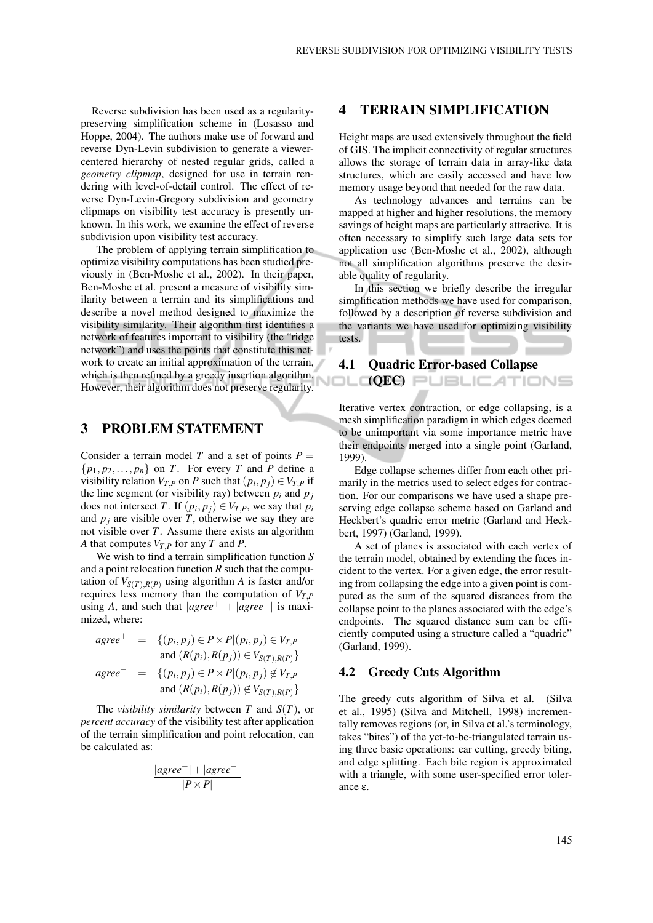Reverse subdivision has been used as a regularitypreserving simplification scheme in (Losasso and Hoppe, 2004). The authors make use of forward and reverse Dyn-Levin subdivision to generate a viewercentered hierarchy of nested regular grids, called a *geometry clipmap*, designed for use in terrain rendering with level-of-detail control. The effect of reverse Dyn-Levin-Gregory subdivision and geometry clipmaps on visibility test accuracy is presently unknown. In this work, we examine the effect of reverse subdivision upon visibility test accuracy.

The problem of applying terrain simplification to optimize visibility computations has been studied previously in (Ben-Moshe et al., 2002). In their paper, Ben-Moshe et al. present a measure of visibility similarity between a terrain and its simplifications and describe a novel method designed to maximize the visibility similarity. Their algorithm first identifies a network of features important to visibility (the "ridge network") and uses the points that constitute this network to create an initial approximation of the terrain, which is then refined by a greedy insertion algorithm.<br>However, their elecciton does not presente reqularity. (QEC) However, their algorithm does not preserve regularity.

## 3 PROBLEM STATEMENT

Consider a terrain model *T* and a set of points  $P =$  $\{p_1, p_2, \ldots, p_n\}$  on *T*. For every *T* and *P* define a visibility relation  $V_{T,P}$  on *P* such that  $(p_i, p_j) \in V_{T,P}$  if the line segment (or visibility ray) between  $p_i$  and  $p_j$ does not intersect *T*. If  $(p_i, p_j) \in V_{T,P}$ , we say that  $p_i$ and  $p_i$  are visible over *T*, otherwise we say they are not visible over *T*. Assume there exists an algorithm *A* that computes  $V_{T,P}$  for any *T* and *P*.

We wish to find a terrain simplification function *S* and a point relocation function *R* such that the computation of  $V_{S(T),R(P)}$  using algorithm *A* is faster and/or requires less memory than the computation of  $V_{T,P}$ using *A*, and such that  $|agree^+| + |agree^-|$  is maximized, where:

$$
agree^+ = \{(p_i, p_j) \in P \times P | (p_i, p_j) \in V_{T,P} \nand (R(p_i), R(p_j)) \in V_{S(T), R(P)}\}
$$
\n
$$
agree^- = \{(p_i, p_j) \in P \times P | (p_i, p_j) \notin V_{T,P} \nand (R(p_i), R(p_j)) \notin V_{S(T), R(P)}\}
$$

The *visibility similarity* between *T* and *S*(*T*), or *percent accuracy* of the visibility test after application of the terrain simplification and point relocation, can be calculated as:

$$
\frac{|agree^+| + |agree^-|}{|P \times P|}
$$

## 4 TERRAIN SIMPLIFICATION

Height maps are used extensively throughout the field of GIS. The implicit connectivity of regular structures allows the storage of terrain data in array-like data structures, which are easily accessed and have low memory usage beyond that needed for the raw data.

As technology advances and terrains can be mapped at higher and higher resolutions, the memory savings of height maps are particularly attractive. It is often necessary to simplify such large data sets for application use (Ben-Moshe et al., 2002), although not all simplification algorithms preserve the desirable quality of regularity.

In this section we briefly describe the irregular simplification methods we have used for comparison, followed by a description of reverse subdivision and the variants we have used for optimizing visibility tests.

### 4.1 Quadric Error-based Collapse

Iterative vertex contraction, or edge collapsing, is a mesh simplification paradigm in which edges deemed to be unimportant via some importance metric have their endpoints merged into a single point (Garland, 1999).

Edge collapse schemes differ from each other primarily in the metrics used to select edges for contraction. For our comparisons we have used a shape preserving edge collapse scheme based on Garland and Heckbert's quadric error metric (Garland and Heckbert, 1997) (Garland, 1999).

A set of planes is associated with each vertex of the terrain model, obtained by extending the faces incident to the vertex. For a given edge, the error resulting from collapsing the edge into a given point is computed as the sum of the squared distances from the collapse point to the planes associated with the edge's endpoints. The squared distance sum can be efficiently computed using a structure called a "quadric" (Garland, 1999).

### 4.2 Greedy Cuts Algorithm

The greedy cuts algorithm of Silva et al. (Silva et al., 1995) (Silva and Mitchell, 1998) incrementally removes regions (or, in Silva et al.'s terminology, takes "bites") of the yet-to-be-triangulated terrain using three basic operations: ear cutting, greedy biting, and edge splitting. Each bite region is approximated with a triangle, with some user-specified error tolerance ε.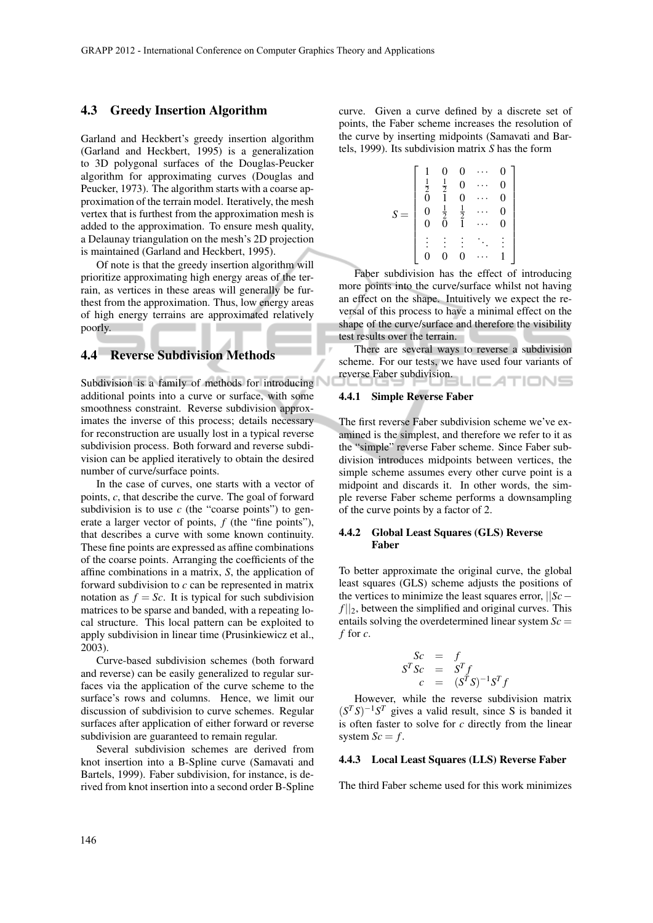### 4.3 Greedy Insertion Algorithm

Garland and Heckbert's greedy insertion algorithm (Garland and Heckbert, 1995) is a generalization to 3D polygonal surfaces of the Douglas-Peucker algorithm for approximating curves (Douglas and Peucker, 1973). The algorithm starts with a coarse approximation of the terrain model. Iteratively, the mesh vertex that is furthest from the approximation mesh is added to the approximation. To ensure mesh quality, a Delaunay triangulation on the mesh's 2D projection is maintained (Garland and Heckbert, 1995).

Of note is that the greedy insertion algorithm will prioritize approximating high energy areas of the terrain, as vertices in these areas will generally be furthest from the approximation. Thus, low energy areas of high energy terrains are approximated relatively poorly.

## 4.4 Reverse Subdivision Methods

Subdivision is a family of methods for introducing additional points into a curve or surface, with some smoothness constraint. Reverse subdivision approximates the inverse of this process; details necessary for reconstruction are usually lost in a typical reverse subdivision process. Both forward and reverse subdivision can be applied iteratively to obtain the desired number of curve/surface points.

In the case of curves, one starts with a vector of points, *c*, that describe the curve. The goal of forward subdivision is to use  $c$  (the "coarse points") to generate a larger vector of points, *f* (the "fine points"), that describes a curve with some known continuity. These fine points are expressed as affine combinations of the coarse points. Arranging the coefficients of the affine combinations in a matrix, *S*, the application of forward subdivision to *c* can be represented in matrix notation as  $f = Sc$ . It is typical for such subdivision matrices to be sparse and banded, with a repeating local structure. This local pattern can be exploited to apply subdivision in linear time (Prusinkiewicz et al., 2003).

Curve-based subdivision schemes (both forward and reverse) can be easily generalized to regular surfaces via the application of the curve scheme to the surface's rows and columns. Hence, we limit our discussion of subdivision to curve schemes. Regular surfaces after application of either forward or reverse subdivision are guaranteed to remain regular.

Several subdivision schemes are derived from knot insertion into a B-Spline curve (Samavati and Bartels, 1999). Faber subdivision, for instance, is derived from knot insertion into a second order B-Spline curve. Given a curve defined by a discrete set of points, the Faber scheme increases the resolution of the curve by inserting midpoints (Samavati and Bartels, 1999). Its subdivision matrix *S* has the form

> 1  $\overline{\phantom{a}}$  $\overline{\phantom{a}}$  $\overline{\phantom{a}}$  $\overline{\phantom{a}}$  $\overline{\phantom{a}}$  $\overline{\phantom{a}}$  $\overline{\phantom{a}}$  $\overline{1}$  $\overline{\phantom{a}}$  $\overline{\phantom{a}}$

$$
S = \begin{bmatrix} 1 & 0 & 0 & \cdots & 0 \\ \frac{1}{2} & \frac{1}{2} & 0 & \cdots & 0 \\ 0 & 1 & 0 & \cdots & 0 \\ 0 & \frac{1}{2} & \frac{1}{2} & \cdots & 0 \\ 0 & 0 & 1 & \cdots & 0 \\ \vdots & \vdots & \vdots & \ddots & \vdots \\ 0 & 0 & 0 & \cdots & 1 \end{bmatrix}
$$

Faber subdivision has the effect of introducing more points into the curve/surface whilst not having an effect on the shape. Intuitively we expect the reversal of this process to have a minimal effect on the shape of the curve/surface and therefore the visibility test results over the terrain.

There are several ways to reverse a subdivision scheme. For our tests, we have used four variants of reverse Faber subdivision. : ATIONS

#### 4.4.1 Simple Reverse Faber

The first reverse Faber subdivision scheme we've examined is the simplest, and therefore we refer to it as the "simple" reverse Faber scheme. Since Faber subdivision introduces midpoints between vertices, the simple scheme assumes every other curve point is a midpoint and discards it. In other words, the simple reverse Faber scheme performs a downsampling of the curve points by a factor of 2.

### 4.4.2 Global Least Squares (GLS) Reverse Faber

To better approximate the original curve, the global least squares (GLS) scheme adjusts the positions of the vertices to minimize the least squares error, ||*Sc*−  $f||_2$ , between the simplified and original curves. This entails solving the overdetermined linear system  $Sc =$ *f* for *c*.

$$
\begin{array}{rcl}\nSc & = & f \\
S^T Sc & = & S^T f \\
c & = & (S^T S)^{-1} S^T f\n\end{array}
$$

However, while the reverse subdivision matrix  $(S^T S)^{-1} S^T$  gives a valid result, since S is banded it is often faster to solve for *c* directly from the linear system  $Sc = f$ .

### 4.4.3 Local Least Squares (LLS) Reverse Faber

The third Faber scheme used for this work minimizes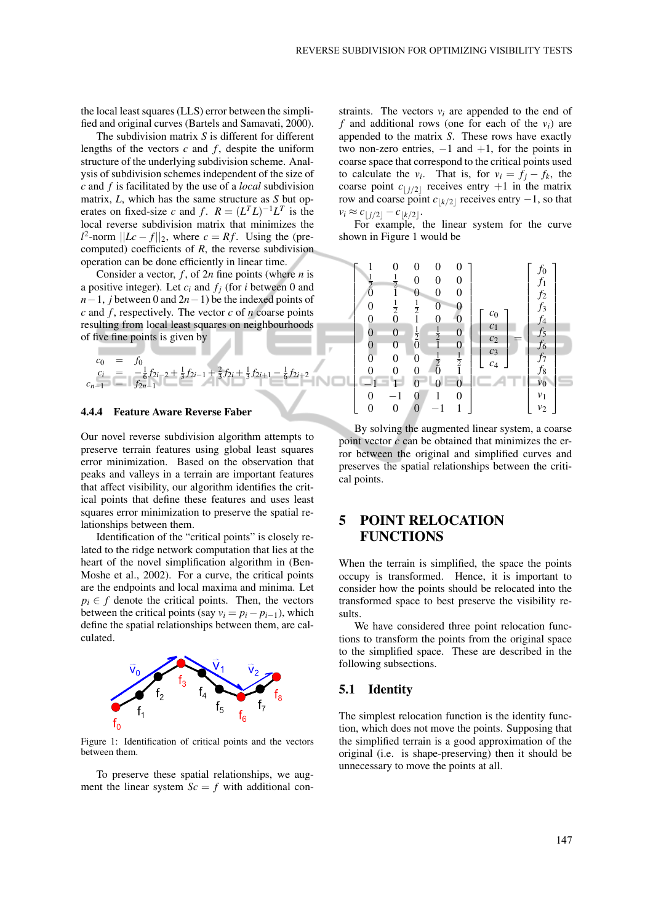the local least squares (LLS) error between the simplified and original curves (Bartels and Samavati, 2000).

The subdivision matrix *S* is different for different lengths of the vectors  $c$  and  $f$ , despite the uniform structure of the underlying subdivision scheme. Analysis of subdivision schemes independent of the size of *c* and *f* is facilitated by the use of a *local* subdivision matrix, *L*, which has the same structure as *S* but operates on fixed-size *c* and *f*.  $R = (L^T L)^{-1} L^T$  is the local reverse subdivision matrix that minimizes the  $l^2$ -norm  $||Lc - f||_2$ , where  $c = Rf$ . Using the (precomputed) coefficients of *R*, the reverse subdivision operation can be done efficiently in linear time.

Consider a vector, *f* , of 2*n* fine points (where *n* is a positive integer). Let *c<sup>i</sup>* and *f<sup>j</sup>* (for *i* between 0 and *n*−1, *j* between 0 and 2*n*−1) be the indexed points of *c* and *f* , respectively. The vector *c* of *n* coarse points resulting from local least squares on neighbourhoods of five fine points is given by

$$
\begin{array}{rcl}\nc_0 &=& f_0 \\
c_i &=& -\frac{1}{6}f_{2i-2} + \frac{1}{3}f_{2i-1} + \frac{2}{3}f_{2i} + \frac{1}{3}f_{2i+1} - \frac{1}{6}f_{2i+2} \\
c_{n-1} &=& f_{2n-1}\n\end{array}
$$

#### 4.4.4 Feature Aware Reverse Faber

Our novel reverse subdivision algorithm attempts to preserve terrain features using global least squares error minimization. Based on the observation that peaks and valleys in a terrain are important features that affect visibility, our algorithm identifies the critical points that define these features and uses least squares error minimization to preserve the spatial relationships between them.

Identification of the "critical points" is closely related to the ridge network computation that lies at the heart of the novel simplification algorithm in (Ben-Moshe et al., 2002). For a curve, the critical points are the endpoints and local maxima and minima. Let  $p_i \in f$  denote the critical points. Then, the vectors between the critical points (say  $v_i = p_i - p_{i-1}$ ), which define the spatial relationships between them, are calculated.



Figure 1: Identification of critical points and the vectors between them.

To preserve these spatial relationships, we augment the linear system  $Sc = f$  with additional constraints. The vectors  $v_i$  are appended to the end of  $f$  and additional rows (one for each of the  $v_i$ ) are appended to the matrix *S*. These rows have exactly two non-zero entries,  $-1$  and  $+1$ , for the points in coarse space that correspond to the critical points used to calculate the *v*<sub>*i*</sub>. That is, for  $v_i = f_j - f_k$ , the coarse point  $c_{\vert j/2\vert}$  receives entry  $+1$  in the matrix row and coarse point  $c_{\lfloor k/2 \rfloor}$  receives entry  $-1$ , so that  $v_i \approx c_{\vert j/2\vert} - c_{\vert k/2\vert}$ .

For example, the linear system for the curve shown in Figure 1 would be



By solving the augmented linear system, a coarse point vector *c* can be obtained that minimizes the error between the original and simplified curves and preserves the spatial relationships between the critical points.

## 5 POINT RELOCATION **FUNCTIONS**

When the terrain is simplified, the space the points occupy is transformed. Hence, it is important to consider how the points should be relocated into the transformed space to best preserve the visibility results.

We have considered three point relocation functions to transform the points from the original space to the simplified space. These are described in the following subsections.

### 5.1 Identity

The simplest relocation function is the identity function, which does not move the points. Supposing that the simplified terrain is a good approximation of the original (i.e. is shape-preserving) then it should be unnecessary to move the points at all.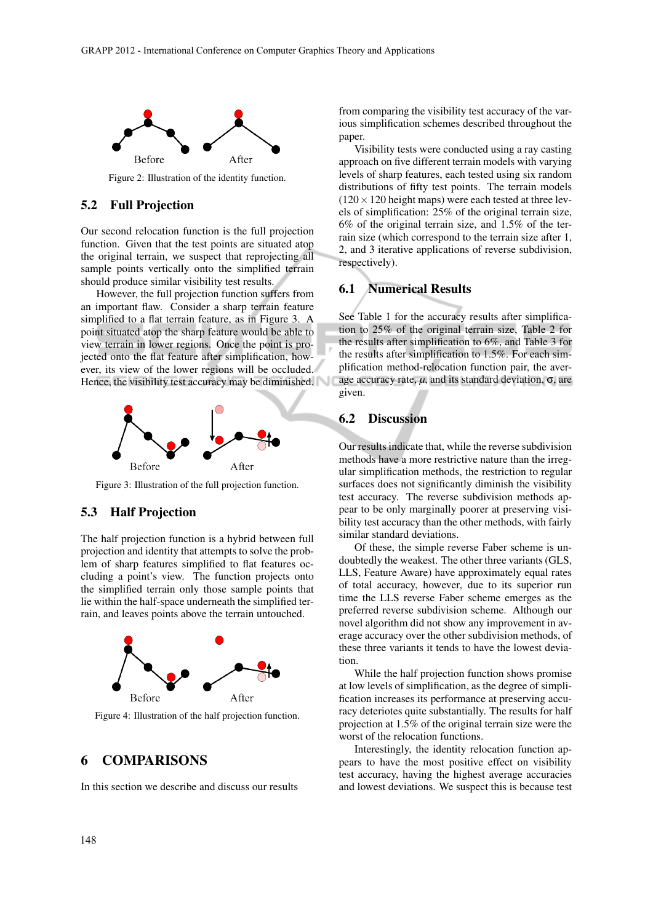

Figure 2: Illustration of the identity function.

### 5.2 Full Projection

Our second relocation function is the full projection function. Given that the test points are situated atop the original terrain, we suspect that reprojecting all sample points vertically onto the simplified terrain should produce similar visibility test results.

However, the full projection function suffers from an important flaw. Consider a sharp terrain feature simplified to a flat terrain feature, as in Figure 3. A point situated atop the sharp feature would be able to view terrain in lower regions. Once the point is projected onto the flat feature after simplification, however, its view of the lower regions will be occluded. Hence, the visibility test accuracy may be diminished.



Figure 3: Illustration of the full projection function.

### 5.3 Half Projection

The half projection function is a hybrid between full projection and identity that attempts to solve the problem of sharp features simplified to flat features occluding a point's view. The function projects onto the simplified terrain only those sample points that lie within the half-space underneath the simplified terrain, and leaves points above the terrain untouched.



Figure 4: Illustration of the half projection function.

## 6 COMPARISONS

In this section we describe and discuss our results

from comparing the visibility test accuracy of the various simplification schemes described throughout the paper.

Visibility tests were conducted using a ray casting approach on five different terrain models with varying levels of sharp features, each tested using six random distributions of fifty test points. The terrain models  $(120 \times 120$  height maps) were each tested at three levels of simplification: 25% of the original terrain size, 6% of the original terrain size, and 1.5% of the terrain size (which correspond to the terrain size after 1, 2, and 3 iterative applications of reverse subdivision, respectively).

### 6.1 Numerical Results

See Table 1 for the accuracy results after simplification to 25% of the original terrain size, Table 2 for the results after simplification to 6%, and Table 3 for the results after simplification to 1.5%. For each simplification method-relocation function pair, the average accuracy rate,  $\mu$ , and its standard deviation,  $\sigma$ , are given.

### 6.2 Discussion

Our results indicate that, while the reverse subdivision methods have a more restrictive nature than the irregular simplification methods, the restriction to regular surfaces does not significantly diminish the visibility test accuracy. The reverse subdivision methods appear to be only marginally poorer at preserving visibility test accuracy than the other methods, with fairly similar standard deviations.

Of these, the simple reverse Faber scheme is undoubtedly the weakest. The other three variants (GLS, LLS, Feature Aware) have approximately equal rates of total accuracy, however, due to its superior run time the LLS reverse Faber scheme emerges as the preferred reverse subdivision scheme. Although our novel algorithm did not show any improvement in average accuracy over the other subdivision methods, of these three variants it tends to have the lowest deviation.

While the half projection function shows promise at low levels of simplification, as the degree of simplification increases its performance at preserving accuracy deteriotes quite substantially. The results for half projection at 1.5% of the original terrain size were the worst of the relocation functions.

Interestingly, the identity relocation function appears to have the most positive effect on visibility test accuracy, having the highest average accuracies and lowest deviations. We suspect this is because test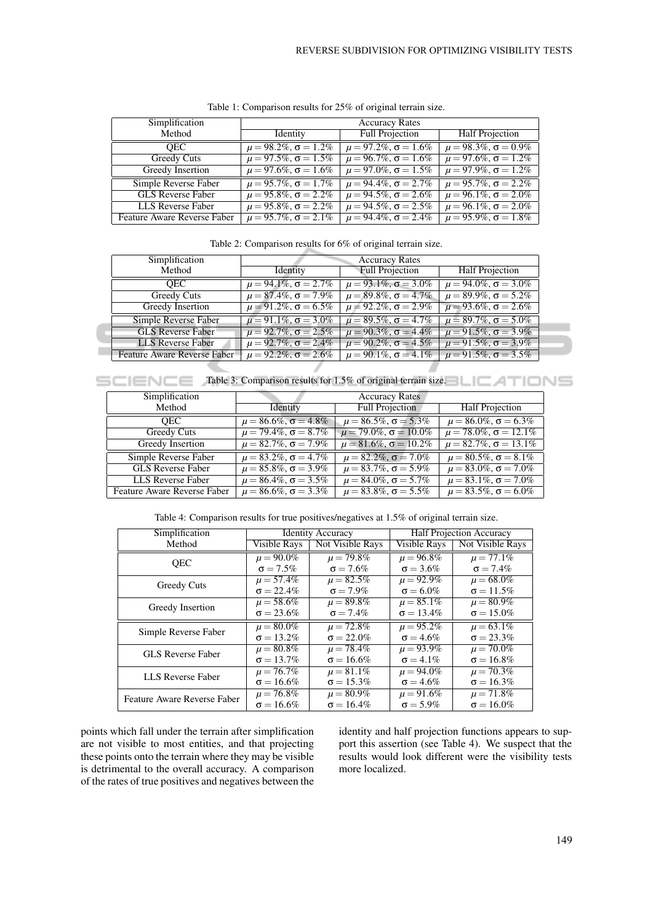| Simplification              | <b>Accuracy Rates</b>             |                                   |                                   |
|-----------------------------|-----------------------------------|-----------------------------------|-----------------------------------|
| Method                      | Identity                          | <b>Full Projection</b>            | <b>Half Projection</b>            |
| <b>OEC</b>                  | $\mu = 98.2\%$ , $\sigma = 1.2\%$ | $\mu = 97.2\%$ , $\sigma = 1.6\%$ | $\mu = 98.3\%, \sigma = 0.9\%$    |
| Greedy Cuts                 | $\mu = 97.5\%, \sigma = 1.5\%$    | $\mu = 96.7\%$ , $\sigma = 1.6\%$ | $\mu = 97.6\%$ , $\sigma = 1.2\%$ |
| Greedy Insertion            | $\mu = 97.6\%$ , $\sigma = 1.6\%$ | $\mu = 97.0\%$ , $\sigma = 1.5\%$ | $\mu = 97.9\%, \sigma = 1.2\%$    |
| Simple Reverse Faber        | $\mu = 95.7\%$ , $\sigma = 1.7\%$ | $\mu = 94.4\%$ , $\sigma = 2.7\%$ | $\mu = 95.7\%$ , $\sigma = 2.2\%$ |
| <b>GLS Reverse Faber</b>    | $\mu = 95.8\%$ , $\sigma = 2.2\%$ | $\mu = 94.5\%$ , $\sigma = 2.6\%$ | $\mu = 96.1\%$ , $\sigma = 2.0\%$ |
| LLS Reverse Faber           | $\mu = 95.8\%$ , $\sigma = 2.2\%$ | $\mu = 94.5\%$ , $\sigma = 2.5\%$ | $\mu = 96.1\%$ , $\sigma = 2.0\%$ |
| Feature Aware Reverse Faber | $\mu = 95.7\%, \sigma = 2.1\%$    | $\mu = 94.4\%$ , $\sigma = 2.4\%$ | $\mu = 95.9\%, \sigma = 1.8\%$    |

Table 1: Comparison results for 25% of original terrain size.

| Table 2: Comparison results for $6\%$ of original terrain size. |  |
|-----------------------------------------------------------------|--|
|-----------------------------------------------------------------|--|

| Simplification              | <b>Accuracy Rates</b>             |                                   |                                   |  |
|-----------------------------|-----------------------------------|-----------------------------------|-----------------------------------|--|
| Method                      | Identity                          | <b>Full Projection</b>            | <b>Half Projection</b>            |  |
| OEC                         | $\mu = 94.1\%$ , $\sigma = 2.7\%$ | $\mu = 93.1\%$ , $\sigma = 3.0\%$ | $\mu = 94.0\%$ , $\sigma = 3.0\%$ |  |
| Greedy Cuts                 | $\mu = 87.4\%$ , $\sigma = 7.9\%$ | $\mu = 89.8\%, \sigma = 4.7\%$    | $\mu = 89.9\%, \sigma = 5.2\%$    |  |
| Greedy Insertion            | $\mu = 91.2\%$ , $\sigma = 6.5\%$ | $\mu = 92.2\%$ , $\sigma = 2.9\%$ | $\mu = 93.6\%, \sigma = 2.6\%$    |  |
| Simple Reverse Faber        | $\mu = 91.1\%$ , $\sigma = 3.0\%$ | $\mu = 89.5\%, \sigma = 4.7\%$    | $\mu = 89.7\%, \sigma = 5.0\%$    |  |
| <b>GLS Reverse Faber</b>    | $\mu = 92.7\%, \sigma = 2.5\%$    | $\mu = 90.3\%$ , $\sigma = 4.4\%$ | $\mu = 91.5\%, \sigma = 3.9\%$    |  |
| LLS Reverse Faber           | $\mu = 92.7\%$ , $\sigma = 2.4\%$ | $\mu = 90.2\%$ , $\sigma = 4.5\%$ | $\mu = 91.5\%, \sigma = 3.9\%$    |  |
| Feature Aware Reverse Faber | $\mu = 92.2\%$ , $\sigma = 2.6\%$ | $\mu = 90.1\%$ , $\sigma = 4.1\%$ | $\mu = 91.5\%, \sigma = 3.5\%$    |  |
|                             |                                   |                                   |                                   |  |

SCIENCE **ATIONS** Table 3: Comparison results for 1.5% of original terrain size.

| Simplification              | <b>Accuracy Rates</b>             |                                    |                                    |
|-----------------------------|-----------------------------------|------------------------------------|------------------------------------|
| Method                      | Identity                          | <b>Full Projection</b>             | <b>Half Projection</b>             |
| <b>OEC</b>                  | $\mu = 86.6\%$ , $\sigma = 4.8\%$ | $\mu = 86.5\%$ , $\sigma = 5.3\%$  | $\mu = 86.0\%$ , $\sigma = 6.3\%$  |
| Greedy Cuts                 | $\mu = 79.4\%, \sigma = 8.7\%$    | $\mu = 79.0\%$ , $\sigma = 10.0\%$ | $\mu = 78.0\%$ , $\sigma = 12.1\%$ |
| Greedy Insertion            | $\mu = 82.7\%$ , $\sigma = 7.9\%$ | $\mu = 81.6\%, \sigma = 10.2\%$    | $\mu = 82.7\%, \sigma = 13.1\%$    |
| <b>Simple Reverse Faber</b> | $\mu = 83.2\%$ , $\sigma = 4.7\%$ | $\mu = 82.2\%$ , $\sigma = 7.0\%$  | $\mu = 80.5\%, \sigma = 8.1\%$     |
| <b>GLS</b> Reverse Faber    | $\mu = 85.8\%$ , $\sigma = 3.9\%$ | $\mu = 83.7\%$ , $\sigma = 5.9\%$  | $\mu = 83.0\%, \sigma = 7.0\%$     |
| LLS Reverse Faber           | $\mu = 86.4\%$ , $\sigma = 3.5\%$ | $\mu = 84.0\%$ , $\sigma = 5.7\%$  | $\mu = 83.1\%, \sigma = 7.0\%$     |
| Feature Aware Reverse Faber | $\mu = 86.6\%$ , $\sigma = 3.3\%$ | $\mu = 83.8\%$ , $\sigma = 5.5\%$  | $\mu = 83.5\%, \sigma = 6.0\%$     |

Table 4: Comparison results for true positives/negatives at 1.5% of original terrain size.

| Simplification              | <b>Identity Accuracy</b> |                   | <b>Half Projection Accuracy</b> |                   |
|-----------------------------|--------------------------|-------------------|---------------------------------|-------------------|
| Method                      | Visible Rays             | Not Visible Rays  | <b>Visible Rays</b>             | Not Visible Rays  |
| <b>OEC</b>                  | $\mu = 90.0\%$           | $\mu = 79.8\%$    | $\mu = 96.8\%$                  | $\mu = 77.1\%$    |
|                             | $\sigma = 7.5\%$         | $\sigma = 7.6\%$  | $\sigma = 3.6\%$                | $\sigma = 7.4\%$  |
| Greedy Cuts                 | $\mu = 57.4\%$           | $\mu = 82.5\%$    | $\mu = 92.9\%$                  | $\mu = 68.0\%$    |
|                             | $\sigma = 22.4\%$        | $\sigma = 7.9\%$  | $\sigma = 6.0\%$                | $\sigma = 11.5\%$ |
| Greedy Insertion            | $\mu = 58.6\%$           | $\mu = 89.8\%$    | $\mu = 85.1\%$                  | $\mu = 80.9\%$    |
|                             | $\sigma = 23.6\%$        | $\sigma = 7.4\%$  | $\sigma = 13.4\%$               | $\sigma = 15.0\%$ |
| Simple Reverse Faber        | $\mu = 80.0\%$           | $\mu = 72.8\%$    | $\mu = 95.2\%$                  | $\mu = 63.1\%$    |
|                             | $\sigma = 13.2\%$        | $\sigma = 22.0\%$ | $\sigma = 4.6\%$                | $\sigma = 23.3\%$ |
| <b>GLS Reverse Faber</b>    | $\mu = 80.8\%$           | $\mu = 78.4\%$    | $\mu = 93.9\%$                  | $\mu = 70.0\%$    |
|                             | $\sigma = 13.7\%$        | $\sigma = 16.6\%$ | $\sigma = 4.1\%$                | $\sigma = 16.8\%$ |
| LLS Reverse Faber           | $\mu = 76.7\%$           | $\mu = 81.1\%$    | $\mu = 94.0\%$                  | $\mu = 70.3\%$    |
|                             | $\sigma = 16.6\%$        | $\sigma = 15.3\%$ | $\sigma = 4.6\%$                | $\sigma = 16.3\%$ |
| Feature Aware Reverse Faber | $\mu = 76.8\%$           | $\mu = 80.9\%$    | $\mu = 91.6\%$                  | $\mu = 71.8\%$    |
|                             | $\sigma = 16.6\%$        | $\sigma = 16.4\%$ | $\sigma = 5.9\%$                | $\sigma = 16.0\%$ |

points which fall under the terrain after simplification are not visible to most entities, and that projecting these points onto the terrain where they may be visible is detrimental to the overall accuracy. A comparison of the rates of true positives and negatives between the identity and half projection functions appears to support this assertion (see Table 4). We suspect that the results would look different were the visibility tests more localized.